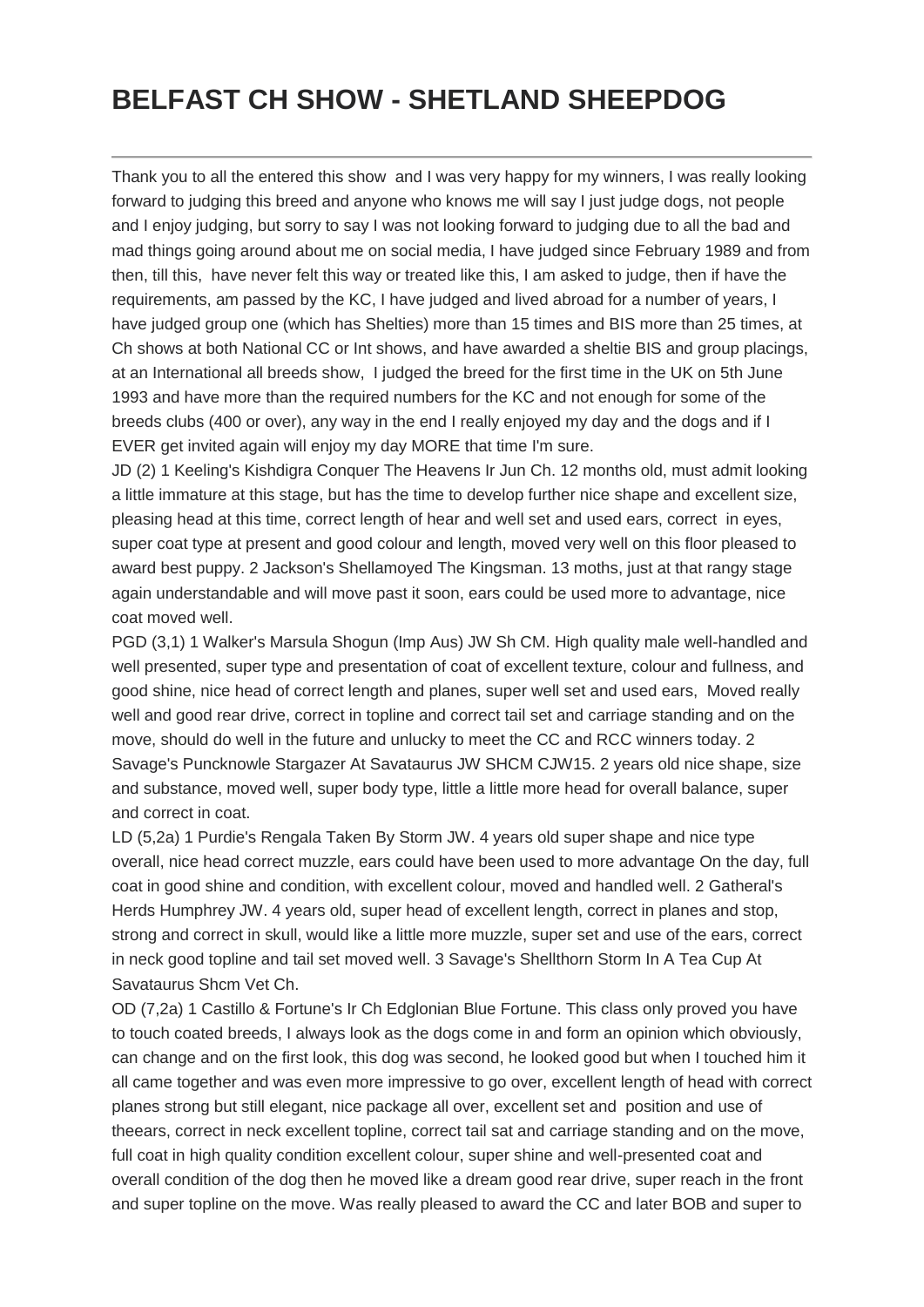## **BELFAST CH SHOW - SHETLAND SHEEPDOG**

Thank you to all the entered this show and I was very happy for my winners, I was really looking forward to judging this breed and anyone who knows me will say I just judge dogs, not people and I enjoy judging, but sorry to say I was not looking forward to judging due to all the bad and mad things going around about me on social media, I have judged since February 1989 and from then, till this, have never felt this way or treated like this, I am asked to judge, then if have the requirements, am passed by the KC, I have judged and lived abroad for a number of years, I have judged group one (which has Shelties) more than 15 times and BIS more than 25 times, at Ch shows at both National CC or Int shows, and have awarded a sheltie BIS and group placings, at an International all breeds show, I judged the breed for the first time in the UK on 5th June 1993 and have more than the required numbers for the KC and not enough for some of the breeds clubs (400 or over), any way in the end I really enjoyed my day and the dogs and if I EVER get invited again will enjoy my day MORE that time I'm sure.

JD (2) 1 Keeling's Kishdigra Conquer The Heavens Ir Jun Ch. 12 months old, must admit looking a little immature at this stage, but has the time to develop further nice shape and excellent size, pleasing head at this time, correct length of hear and well set and used ears, correct in eyes, super coat type at present and good colour and length, moved very well on this floor pleased to award best puppy. 2 Jackson's Shellamoyed The Kingsman. 13 moths, just at that rangy stage again understandable and will move past it soon, ears could be used more to advantage, nice coat moved well.

PGD (3,1) 1 Walker's Marsula Shogun (Imp Aus) JW Sh CM. High quality male well-handled and well presented, super type and presentation of coat of excellent texture, colour and fullness, and good shine, nice head of correct length and planes, super well set and used ears, Moved really well and good rear drive, correct in topline and correct tail set and carriage standing and on the move, should do well in the future and unlucky to meet the CC and RCC winners today. 2 Savage's Puncknowle Stargazer At Savataurus JW SHCM CJW15. 2 years old nice shape, size and substance, moved well, super body type, little a little more head for overall balance, super and correct in coat.

LD (5,2a) 1 Purdie's Rengala Taken By Storm JW. 4 years old super shape and nice type overall, nice head correct muzzle, ears could have been used to more advantage On the day, full coat in good shine and condition, with excellent colour, moved and handled well. 2 Gatheral's Herds Humphrey JW. 4 years old, super head of excellent length, correct in planes and stop, strong and correct in skull, would like a little more muzzle, super set and use of the ears, correct in neck good topline and tail set moved well. 3 Savage's Shellthorn Storm In A Tea Cup At Savataurus Shcm Vet Ch.

OD (7,2a) 1 Castillo & Fortune's Ir Ch Edglonian Blue Fortune. This class only proved you have to touch coated breeds, I always look as the dogs come in and form an opinion which obviously, can change and on the first look, this dog was second, he looked good but when I touched him it all came together and was even more impressive to go over, excellent length of head with correct planes strong but still elegant, nice package all over, excellent set and position and use of theears, correct in neck excellent topline, correct tail sat and carriage standing and on the move, full coat in high quality condition excellent colour, super shine and well-presented coat and overall condition of the dog then he moved like a dream good rear drive, super reach in the front and super topline on the move. Was really pleased to award the CC and later BOB and super to